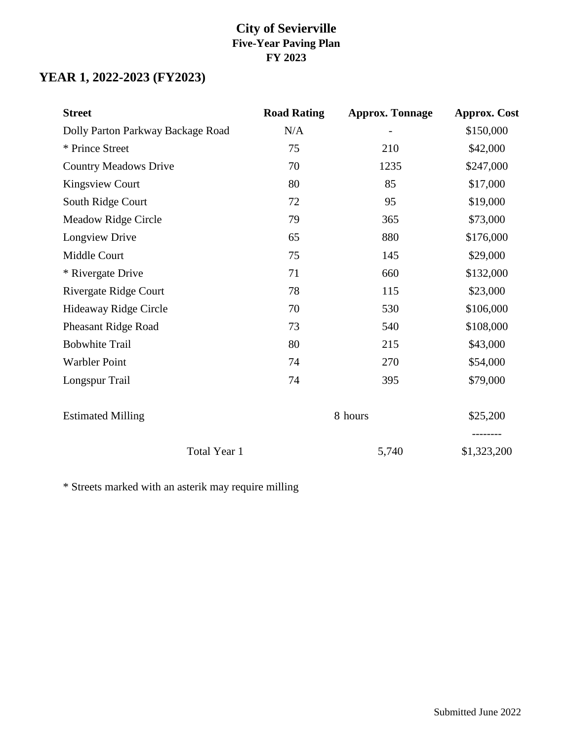# **YEAR 1, 2022-2023 (FY2023)**

| <b>Street</b>                     | <b>Road Rating</b> | <b>Approx. Tonnage</b> | <b>Approx. Cost</b> |
|-----------------------------------|--------------------|------------------------|---------------------|
| Dolly Parton Parkway Backage Road | N/A                |                        | \$150,000           |
| * Prince Street                   | 75                 | 210                    | \$42,000            |
| <b>Country Meadows Drive</b>      | 70                 | 1235                   | \$247,000           |
| <b>Kingsview Court</b>            | 80                 | 85                     | \$17,000            |
| South Ridge Court                 | 72                 | 95                     | \$19,000            |
| Meadow Ridge Circle               | 79                 | 365                    | \$73,000            |
| Longview Drive                    | 65                 | 880                    | \$176,000           |
| Middle Court                      | 75                 | 145                    | \$29,000            |
| * Rivergate Drive                 | 71                 | 660                    | \$132,000           |
| Rivergate Ridge Court             | 78                 | 115                    | \$23,000            |
| Hideaway Ridge Circle             | 70                 | 530                    | \$106,000           |
| <b>Pheasant Ridge Road</b>        | 73                 | 540                    | \$108,000           |
| <b>Bobwhite Trail</b>             | 80                 | 215                    | \$43,000            |
| <b>Warbler Point</b>              | 74                 | 270                    | \$54,000            |
| Longspur Trail                    | 74                 | 395                    | \$79,000            |
| <b>Estimated Milling</b>          |                    | 8 hours                | \$25,200            |
| Total Year 1                      |                    | 5,740                  | \$1,323,200         |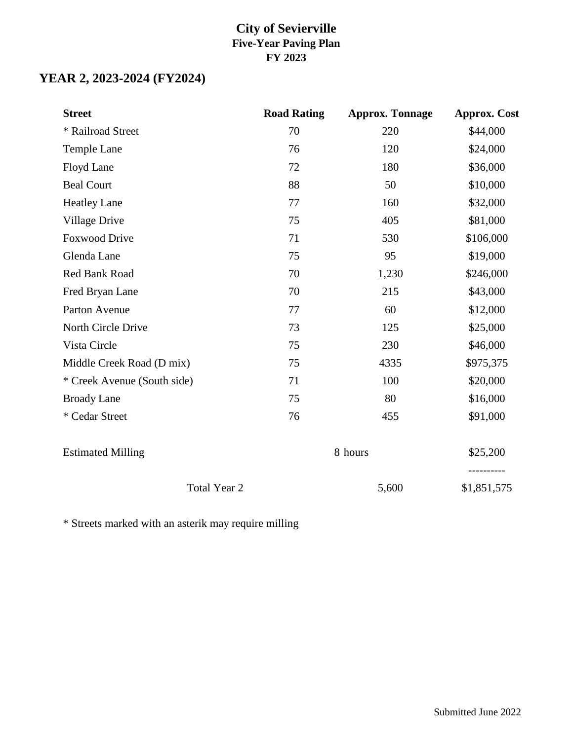# **YEAR 2, 2023-2024 (FY2024)**

| <b>Street</b>               | <b>Road Rating</b> | <b>Approx. Tonnage</b> | <b>Approx. Cost</b> |
|-----------------------------|--------------------|------------------------|---------------------|
| * Railroad Street           | 70                 | 220                    | \$44,000            |
| Temple Lane                 | 76                 | 120                    | \$24,000            |
| Floyd Lane                  | 72                 | 180                    | \$36,000            |
| <b>Beal Court</b>           | 88                 | 50                     | \$10,000            |
| <b>Heatley Lane</b>         | 77                 | 160                    | \$32,000            |
| Village Drive               | 75                 | 405                    | \$81,000            |
| <b>Foxwood Drive</b>        | 71                 | 530                    | \$106,000           |
| Glenda Lane                 | 75                 | 95                     | \$19,000            |
| Red Bank Road               | 70                 | 1,230                  | \$246,000           |
| Fred Bryan Lane             | 70                 | 215                    | \$43,000            |
| Parton Avenue               | 77                 | 60                     | \$12,000            |
| North Circle Drive          | 73                 | 125                    | \$25,000            |
| Vista Circle                | 75                 | 230                    | \$46,000            |
| Middle Creek Road (D mix)   | 75                 | 4335                   | \$975,375           |
| * Creek Avenue (South side) | 71                 | 100                    | \$20,000            |
| <b>Broady Lane</b>          | 75                 | 80                     | \$16,000            |
| * Cedar Street              | 76                 | 455                    | \$91,000            |
| <b>Estimated Milling</b>    |                    | 8 hours                | \$25,200            |
| Total Year 2                |                    | 5,600                  | \$1,851,575         |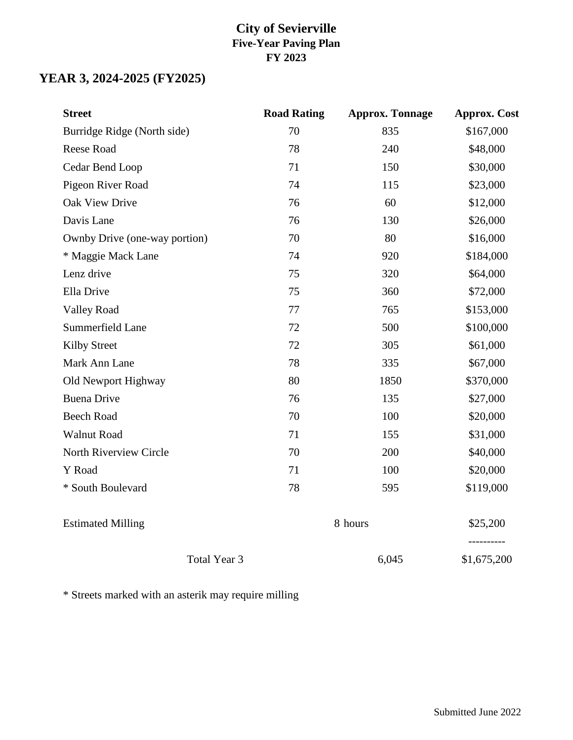# **YEAR 3, 2024-2025 (FY2025)**

| <b>Street</b>                 | <b>Road Rating</b> | <b>Approx. Tonnage</b> | <b>Approx. Cost</b> |
|-------------------------------|--------------------|------------------------|---------------------|
| Burridge Ridge (North side)   | 70                 | 835                    | \$167,000           |
| Reese Road                    | 78                 | 240                    | \$48,000            |
| Cedar Bend Loop               | 71                 | 150                    | \$30,000            |
| Pigeon River Road             | 74                 | 115                    | \$23,000            |
| Oak View Drive                | 76                 | 60                     | \$12,000            |
| Davis Lane                    | 76                 | 130                    | \$26,000            |
| Ownby Drive (one-way portion) | 70                 | 80                     | \$16,000            |
| * Maggie Mack Lane            | 74                 | 920                    | \$184,000           |
| Lenz drive                    | 75                 | 320                    | \$64,000            |
| Ella Drive                    | 75                 | 360                    | \$72,000            |
| <b>Valley Road</b>            | 77                 | 765                    | \$153,000           |
| Summerfield Lane              | 72                 | 500                    | \$100,000           |
| <b>Kilby Street</b>           | 72                 | 305                    | \$61,000            |
| Mark Ann Lane                 | 78                 | 335                    | \$67,000            |
| Old Newport Highway           | 80                 | 1850                   | \$370,000           |
| <b>Buena Drive</b>            | 76                 | 135                    | \$27,000            |
| <b>Beech Road</b>             | 70                 | 100                    | \$20,000            |
| <b>Walnut Road</b>            | 71                 | 155                    | \$31,000            |
| North Riverview Circle        | 70                 | 200                    | \$40,000            |
| Y Road                        | 71                 | 100                    | \$20,000            |
| * South Boulevard             | 78                 | 595                    | \$119,000           |
| <b>Estimated Milling</b>      |                    | 8 hours                | \$25,200            |
| Total Year 3                  |                    | 6,045                  | \$1,675,200         |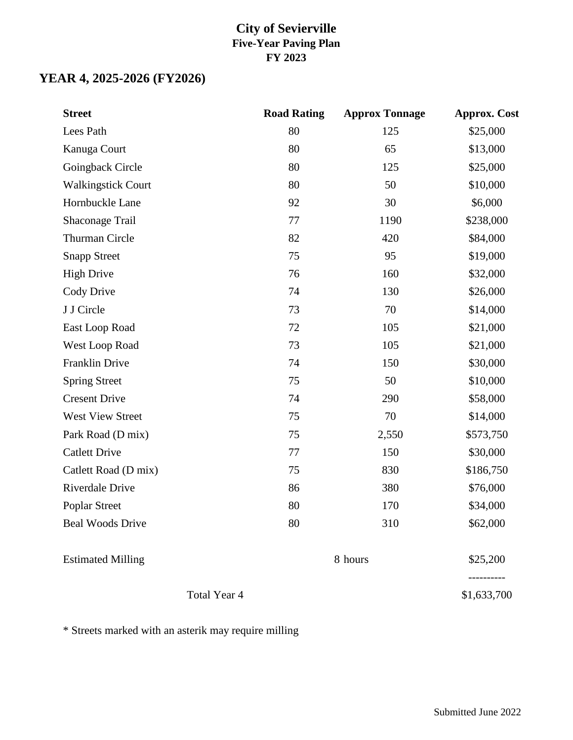# **YEAR 4, 2025-2026 (FY2026)**

| <b>Street</b>             | <b>Road Rating</b> | <b>Approx Tonnage</b> | <b>Approx.</b> Cost |
|---------------------------|--------------------|-----------------------|---------------------|
| Lees Path                 | 80                 | 125                   | \$25,000            |
| Kanuga Court              | 80                 | 65                    | \$13,000            |
| Goingback Circle          | 80                 | 125                   | \$25,000            |
| <b>Walkingstick Court</b> | 80                 | 50                    | \$10,000            |
| Hornbuckle Lane           | 92                 | 30                    | \$6,000             |
| Shaconage Trail           | 77                 | 1190                  | \$238,000           |
| Thurman Circle            | 82                 | 420                   | \$84,000            |
| <b>Snapp Street</b>       | 75                 | 95                    | \$19,000            |
| <b>High Drive</b>         | 76                 | 160                   | \$32,000            |
| Cody Drive                | 74                 | 130                   | \$26,000            |
| J J Circle                | 73                 | 70                    | \$14,000            |
| East Loop Road            | 72                 | 105                   | \$21,000            |
| West Loop Road            | 73                 | 105                   | \$21,000            |
| Franklin Drive            | 74                 | 150                   | \$30,000            |
| <b>Spring Street</b>      | 75                 | 50                    | \$10,000            |
| <b>Cresent Drive</b>      | 74                 | 290                   | \$58,000            |
| <b>West View Street</b>   | 75                 | 70                    | \$14,000            |
| Park Road (D mix)         | 75                 | 2,550                 | \$573,750           |
| <b>Catlett Drive</b>      | 77                 | 150                   | \$30,000            |
| Catlett Road (D mix)      | 75                 | 830                   | \$186,750           |
| <b>Riverdale Drive</b>    | 86                 | 380                   | \$76,000            |
| Poplar Street             | 80                 | 170                   | \$34,000            |
| <b>Beal Woods Drive</b>   | 80                 | 310                   | \$62,000            |
| <b>Estimated Milling</b>  |                    | 8 hours               | \$25,200            |
| Total Year 4              |                    |                       | \$1,633,700         |